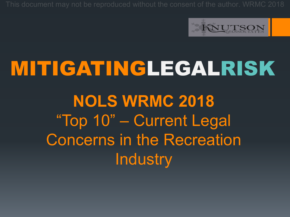

## MITIGATINGLEGALRISK **NOLS WRMC 2018** "Top 10" – Current Legal Concerns in the Recreation **Industry**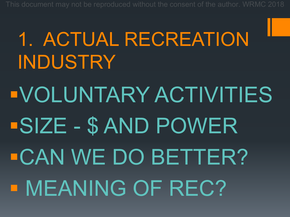# 1. ACTUAL RECREATION INDUSTRY §VOLUNTARY ACTIVITIES §SIZE - \$ AND POWER §CAN WE DO BETTER? § MEANING OF REC?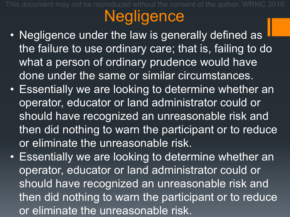## **Negligence**

- Negligence under the law is generally defined as the failure to use ordinary care; that is, failing to do what a person of ordinary prudence would have done under the same or similar circumstances.
- Essentially we are looking to determine whether an operator, educator or land administrator could or should have recognized an unreasonable risk and then did nothing to warn the participant or to reduce or eliminate the unreasonable risk.
- Essentially we are looking to determine whether an operator, educator or land administrator could or should have recognized an unreasonable risk and then did nothing to warn the participant or to reduce or eliminate the unreasonable risk.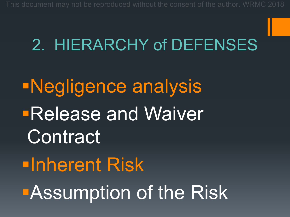#### 2. HIERARCHY of DEFENSES

§Negligence analysis **Release and Waiver Contract** §Inherent Risk **BAssumption of the Risk**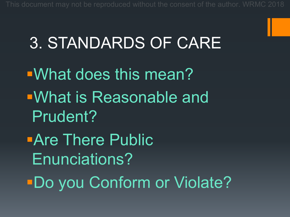#### 3. STANDARDS OF CARE

§What does this mean? §What is Reasonable and Prudent?

**•Are There Public** Enunciations?

§Do you Conform or Violate?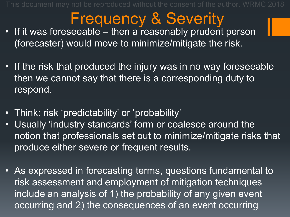#### Frequency & Severity

- If it was foreseeable then a reasonably prudent person (forecaster) would move to minimize/mitigate the risk.
- If the risk that produced the injury was in no way foreseeable then we cannot say that there is a corresponding duty to respond.
- Think: risk 'predictability' or 'probability'
- Usually 'industry standards' form or coalesce around the notion that professionals set out to minimize/mitigate risks that produce either severe or frequent results.
- As expressed in forecasting terms, questions fundamental to risk assessment and employment of mitigation techniques include an analysis of 1) the probability of any given event occurring and 2) the consequences of an event occurring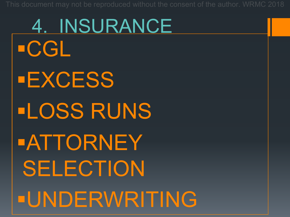4. INSURANCE §CGL §EXCESS §LOSS RUNS §ATTORNEY SELECTION §UNDERWRITING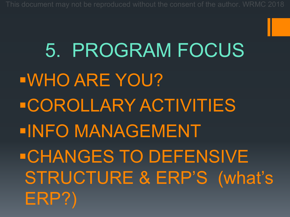5. PROGRAM FOCUS §WHO ARE YOU? §COROLLARY ACTIVITIES §INFO MANAGEMENT §CHANGES TO DEFENSIVE STRUCTURE & ERP'S (what's ERP?)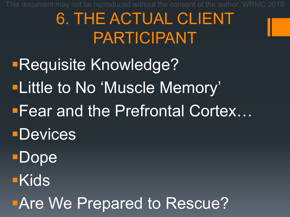#### 6. THE ACTUAL CLIENT PARTICIPANT

§Requisite Knowledge? **ELittle to No 'Muscle Memory' Fear and the Prefrontal Cortex...** §Devices **Dope** §Kids

**EAre We Prepared to Rescue?**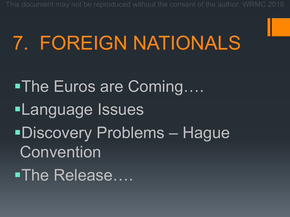### 7. FOREIGN NATIONALS

■The Euros are Coming…. §Language Issues §Discovery Problems – Hague **Convention** ■The Release….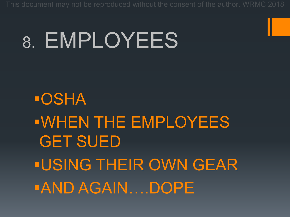## 8. EMPLOYEES

§OSHA §WHEN THE EMPLOYEES GET SUED §USING THEIR OWN GEAR §AND AGAIN….DOPE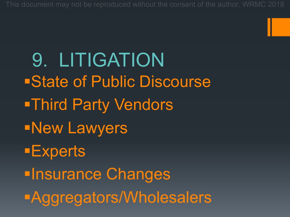9. LITIGATION §State of Public Discourse §Third Party Vendors §New Lawyers §Experts **<u>■Insurance Changes</u>** §Aggregators/Wholesalers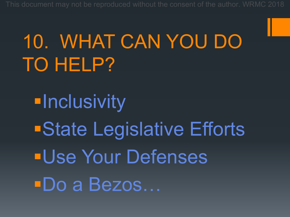## 10. WHAT CAN YOU DO TO HELP?

**Elnclusivity** ■State Legislative Efforts §Use Your Defenses §Do a Bezos…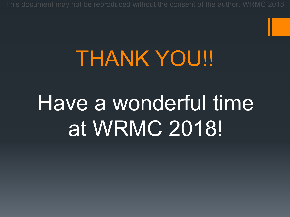## THANK YOU!!

## Have a wonderful time at WRMC 2018!